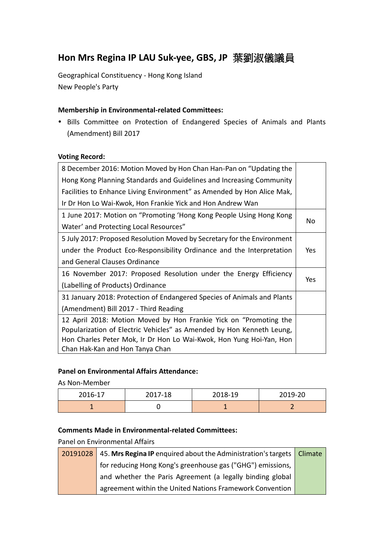# **Hon Mrs Regina IP LAU Suk-yee, GBS, JP** 葉劉淑儀議員

Geographical Constituency - Hong Kong Island New People's Party

## **Membership in Environmental-related Committees:**

 Bills Committee on Protection of Endangered Species of Animals and Plants (Amendment) Bill 2017

#### **Voting Record:**

| 8 December 2016: Motion Moved by Hon Chan Han-Pan on "Updating the      |     |
|-------------------------------------------------------------------------|-----|
| Hong Kong Planning Standards and Guidelines and Increasing Community    |     |
| Facilities to Enhance Living Environment" as Amended by Hon Alice Mak,  |     |
| Ir Dr Hon Lo Wai-Kwok, Hon Frankie Yick and Hon Andrew Wan              |     |
| 1 June 2017: Motion on "Promoting 'Hong Kong People Using Hong Kong     |     |
| Water' and Protecting Local Resources"                                  | No  |
| 5 July 2017: Proposed Resolution Moved by Secretary for the Environment |     |
| under the Product Eco-Responsibility Ordinance and the Interpretation   | Yes |
| and General Clauses Ordinance                                           |     |
| 16 November 2017: Proposed Resolution under the Energy Efficiency       |     |
| (Labelling of Products) Ordinance                                       | Yes |
| 31 January 2018: Protection of Endangered Species of Animals and Plants |     |
| (Amendment) Bill 2017 - Third Reading                                   |     |
| 12 April 2018: Motion Moved by Hon Frankie Yick on "Promoting the       |     |
| Popularization of Electric Vehicles" as Amended by Hon Kenneth Leung,   |     |
| Hon Charles Peter Mok, Ir Dr Hon Lo Wai-Kwok, Hon Yung Hoi-Yan, Hon     |     |
| Chan Hak-Kan and Hon Tanya Chan                                         |     |

#### **Panel on Environmental Affairs Attendance:**

As Non-Member

| 2016-17 | 2017-18 | 2018-19 | 2019-20 |
|---------|---------|---------|---------|
|         |         |         |         |

### **Comments Made in Environmental-related Committees:**

Panel on Environmental Affairs

|  | 20191028 45. Mrs Regina IP enquired about the Administration's targets   Climate |  |
|--|----------------------------------------------------------------------------------|--|
|  | for reducing Hong Kong's greenhouse gas ("GHG") emissions,                       |  |
|  | and whether the Paris Agreement (a legally binding global                        |  |
|  | agreement within the United Nations Framework Convention                         |  |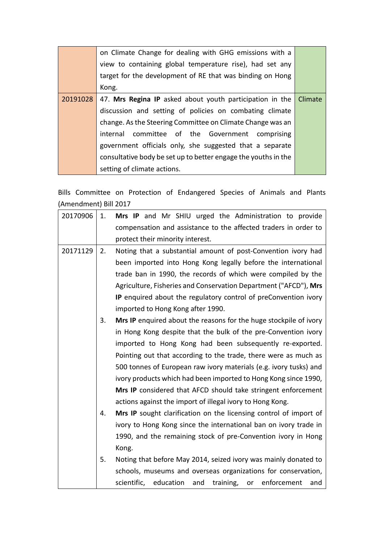| on Climate Change for dealing with GHG emissions with a           |         |
|-------------------------------------------------------------------|---------|
| view to containing global temperature rise), had set any          |         |
| target for the development of RE that was binding on Hong         |         |
| Kong.                                                             |         |
| 20191028 47. Mrs Regina IP asked about youth participation in the | Climate |
| discussion and setting of policies on combating climate           |         |
| change. As the Steering Committee on Climate Change was an        |         |
| internal committee of the Government comprising                   |         |
| government officials only, she suggested that a separate          |         |
| consultative body be set up to better engage the youths in the    |         |
| setting of climate actions.                                       |         |

Bills Committee on Protection of Endangered Species of Animals and Plants (Amendment) Bill 2017

| 20170906 | 1. | Mrs IP and Mr SHIU urged the Administration to provide             |
|----------|----|--------------------------------------------------------------------|
|          |    | compensation and assistance to the affected traders in order to    |
|          |    | protect their minority interest.                                   |
| 20171129 | 2. | Noting that a substantial amount of post-Convention ivory had      |
|          |    | been imported into Hong Kong legally before the international      |
|          |    | trade ban in 1990, the records of which were compiled by the       |
|          |    | Agriculture, Fisheries and Conservation Department ("AFCD"), Mrs   |
|          |    | IP enquired about the regulatory control of preConvention ivory    |
|          |    | imported to Hong Kong after 1990.                                  |
|          | 3. | Mrs IP enquired about the reasons for the huge stockpile of ivory  |
|          |    | in Hong Kong despite that the bulk of the pre-Convention ivory     |
|          |    | imported to Hong Kong had been subsequently re-exported.           |
|          |    | Pointing out that according to the trade, there were as much as    |
|          |    | 500 tonnes of European raw ivory materials (e.g. ivory tusks) and  |
|          |    | ivory products which had been imported to Hong Kong since 1990,    |
|          |    | Mrs IP considered that AFCD should take stringent enforcement      |
|          |    | actions against the import of illegal ivory to Hong Kong.          |
|          | 4. | Mrs IP sought clarification on the licensing control of import of  |
|          |    | ivory to Hong Kong since the international ban on ivory trade in   |
|          |    | 1990, and the remaining stock of pre-Convention ivory in Hong      |
|          |    | Kong.                                                              |
|          | 5. | Noting that before May 2014, seized ivory was mainly donated to    |
|          |    | schools, museums and overseas organizations for conservation,      |
|          |    | training,<br>scientific, education<br>and<br>or enforcement<br>and |